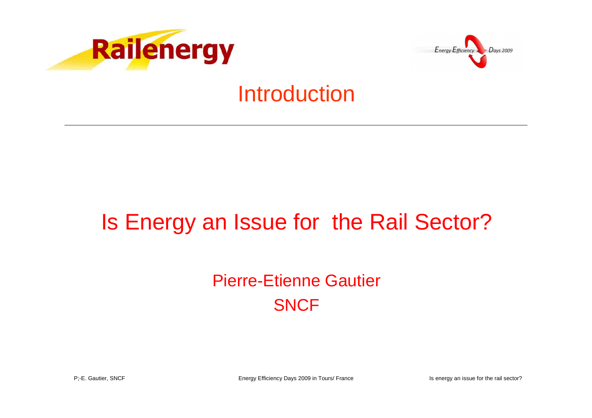



### Introduction

## Is Energy an Issue for the Rail Sector?

#### Pierre-Etienne Gautier **SNCF**

Energy Efficiency Days 2009 in Tours/ France Is energy an issue for the rail sector?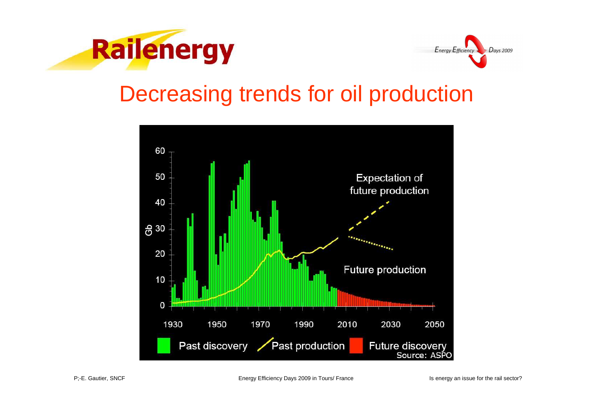



## Decreasing trends for oil production

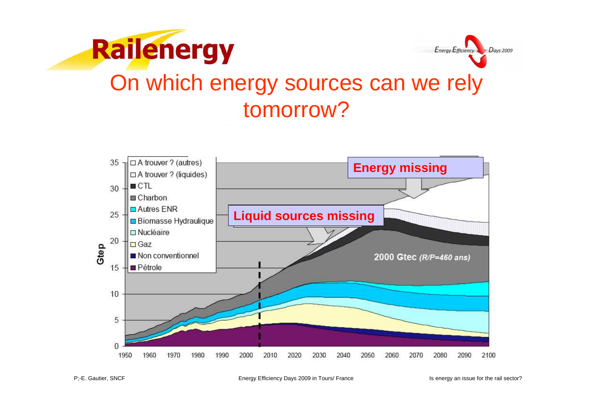



Energy Efficiency Days 2009 in Tours/ France Is energy an issue for the rail sector?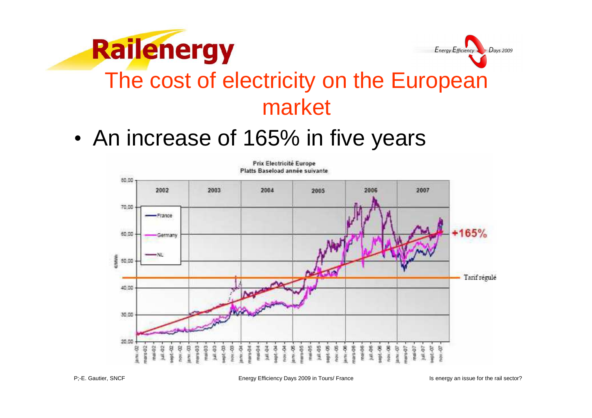



## The cost of electricity on the European market

•An increase of 165% in five years



P;-E. Gautier, SNCF

Energy Efficiency Days 2009 in Tours/ France Is energy an issue for the rail sector?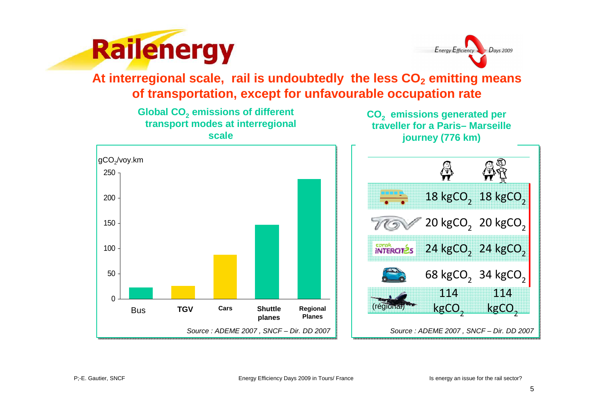



**At interregional scale, rail is undoubtedly the less CO2 emitting means of transportation, except for unfavourable occupation rate**

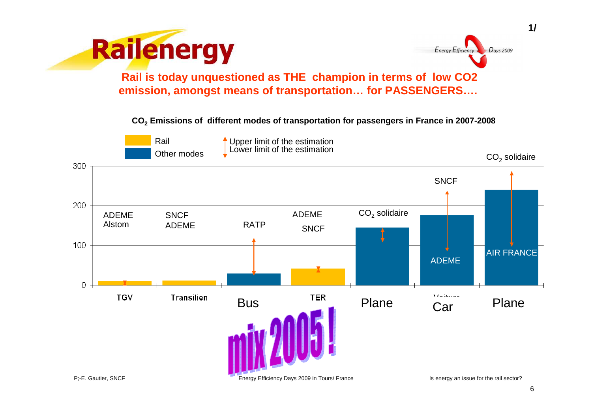



**1/**

**Rail is today unquestioned as THE champion in terms of low CO2 emission, amongst means of transportation… for PASSENGERS….**

**CO2 Emissions of different modes of transportation for passengers in France in 2007-2008**



6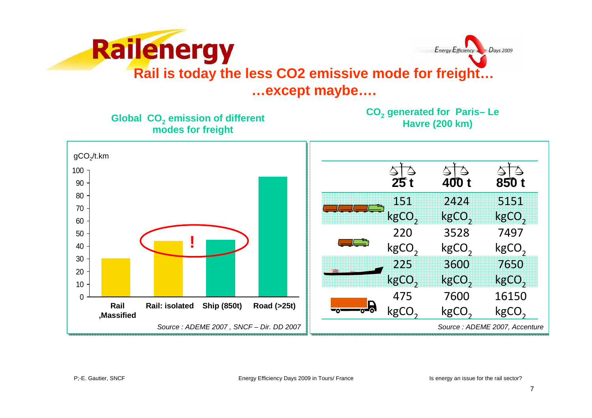

**Global CO2 emission of different modes for freight**

**CO2 generated for Paris– Le Havre (200 km)** 

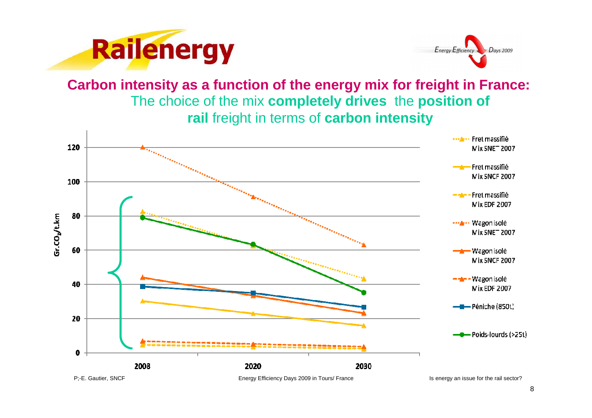



The choice of the mix **completely drives** the **position of rail** freight in terms of **carbon intensityCarbon intensity as a function of the energy mix for freight in France:**

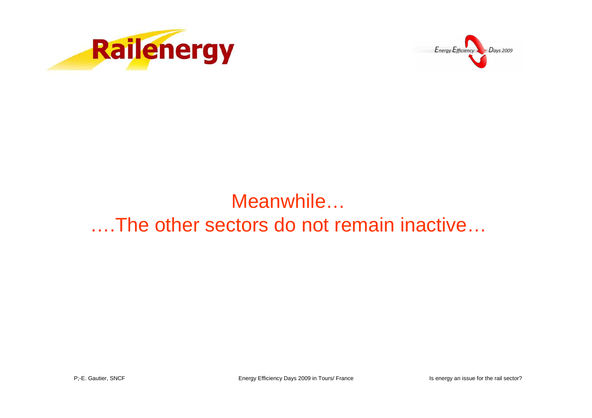



#### Meanwhile…….The other sectors do not remain inactive…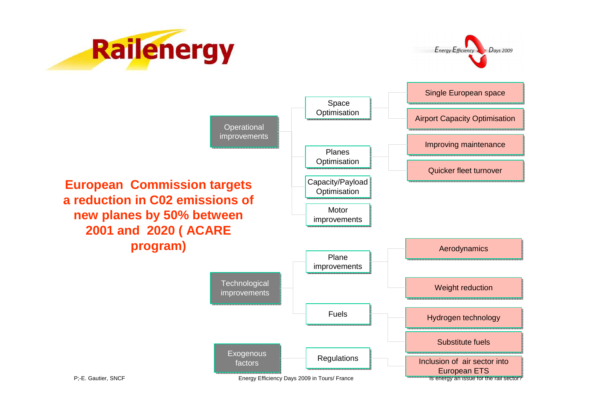



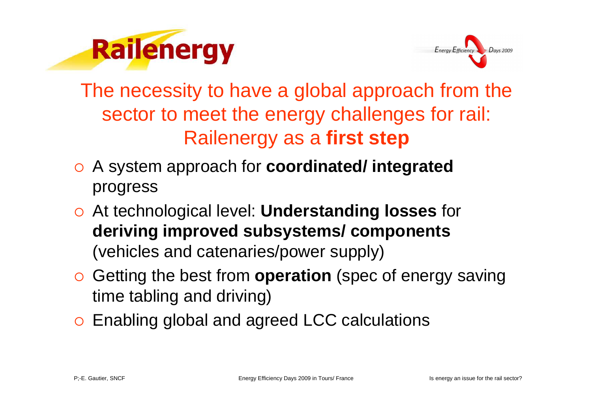



The necessity to have a global approach from the sector to meet the energy challenges for rail:Railenergy as a **first step**

- A system approach for **coordinated/ integrated** progress
- At technological level: **Understanding losses** for **deriving improved subsystems/ components**(vehicles and catenaries/power supply)
- Getting the best from **operation** (spec of energy saving time tabling and driving)
- o Enabling global and agreed LCC calculations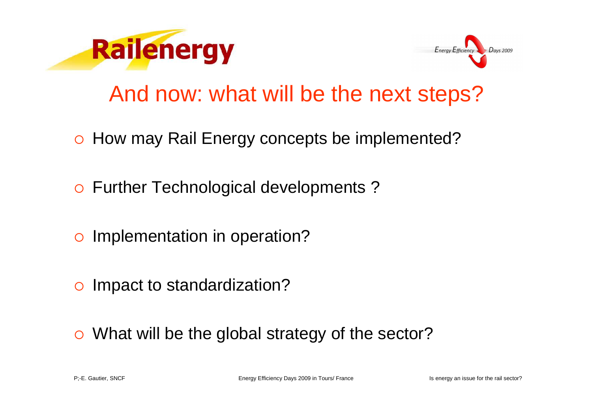



## And now: what will be the next steps?

- o How may Rail Energy concepts be implemented?
- o Further Technological developments?
- o Implementation in operation?
- o Impact to standardization?
- What will be the global strategy of the sector?